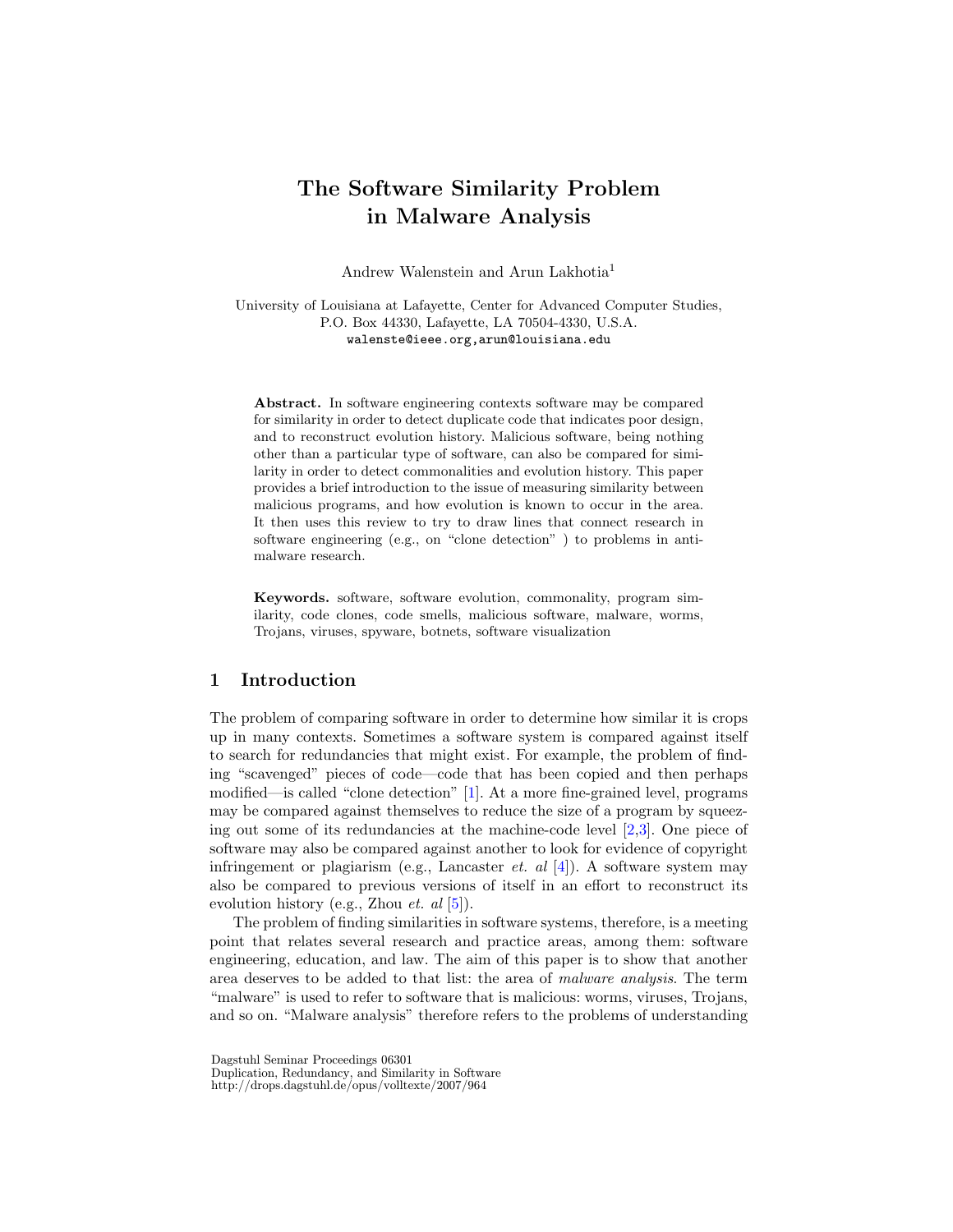# The Software Similarity Problem in Malware Analysis

Andrew Walenstein and Arun Lakhotia<sup>1</sup>

University of Louisiana at Lafayette, Center for Advanced Computer Studies, P.O. Box 44330, Lafayette, LA 70504-4330, U.S.A. walenste@ieee.org,arun@louisiana.edu

Abstract. In software engineering contexts software may be compared for similarity in order to detect duplicate code that indicates poor design, and to reconstruct evolution history. Malicious software, being nothing other than a particular type of software, can also be compared for similarity in order to detect commonalities and evolution history. This paper provides a brief introduction to the issue of measuring similarity between malicious programs, and how evolution is known to occur in the area. It then uses this review to try to draw lines that connect research in software engineering (e.g., on "clone detection" ) to problems in antimalware research.

Keywords. software, software evolution, commonality, program similarity, code clones, code smells, malicious software, malware, worms, Trojans, viruses, spyware, botnets, software visualization

# 1 Introduction

The problem of comparing software in order to determine how similar it is crops up in many contexts. Sometimes a software system is compared against itself to search for redundancies that might exist. For example, the problem of finding "scavenged" pieces of code—code that has been copied and then perhaps modified—is called "clone detection" [\[1\]](#page-8-0). At a more fine-grained level, programs may be compared against themselves to reduce the size of a program by squeezing out some of its redundancies at the machine-code level  $[2,3]$  $[2,3]$ . One piece of software may also be compared against another to look for evidence of copyright infringement or plagiarism (e.g., Lancaster *et. al* [\[4\]](#page-8-3)). A software system may also be compared to previous versions of itself in an effort to reconstruct its evolution history (e.g., Zhou et. al [\[5\]](#page-8-4)).

The problem of finding similarities in software systems, therefore, is a meeting point that relates several research and practice areas, among them: software engineering, education, and law. The aim of this paper is to show that another area deserves to be added to that list: the area of malware analysis. The term "malware" is used to refer to software that is malicious: worms, viruses, Trojans, and so on. "Malware analysis" therefore refers to the problems of understanding

Dagstuhl Seminar Proceedings 06301

Duplication, Redundancy, and Similarity in Software

http://drops.dagstuhl.de/opus/volltexte/2007/964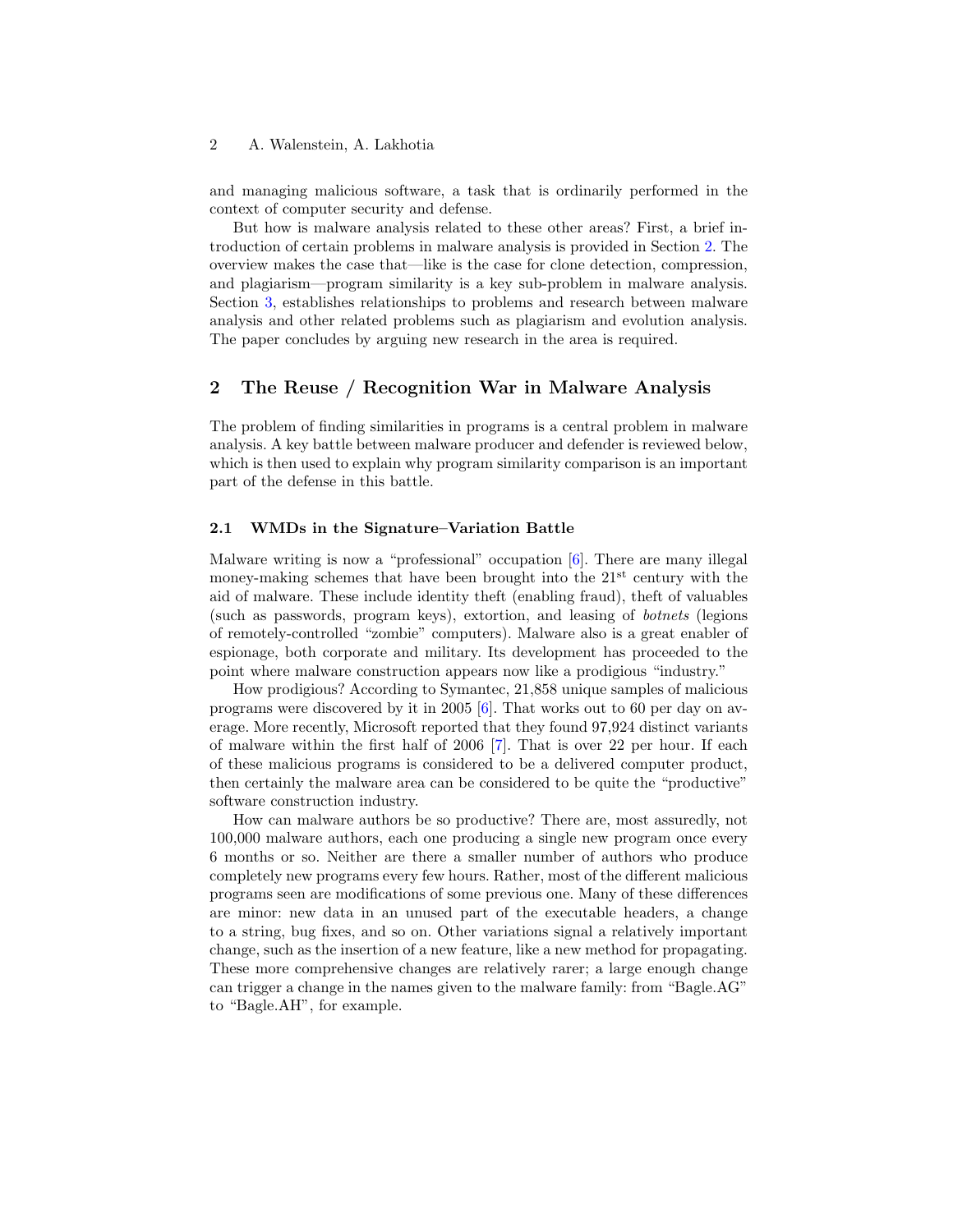and managing malicious software, a task that is ordinarily performed in the context of computer security and defense.

But how is malware analysis related to these other areas? First, a brief introduction of certain problems in malware analysis is provided in Section [2.](#page-1-0) The overview makes the case that—like is the case for clone detection, compression, and plagiarism—program similarity is a key sub-problem in malware analysis. Section [3,](#page-4-0) establishes relationships to problems and research between malware analysis and other related problems such as plagiarism and evolution analysis. The paper concludes by arguing new research in the area is required.

# <span id="page-1-0"></span>2 The Reuse / Recognition War in Malware Analysis

The problem of finding similarities in programs is a central problem in malware analysis. A key battle between malware producer and defender is reviewed below, which is then used to explain why program similarity comparison is an important part of the defense in this battle.

# 2.1 WMDs in the Signature–Variation Battle

Malware writing is now a "professional" occupation [\[6\]](#page-8-5). There are many illegal money-making schemes that have been brought into the  $21<sup>st</sup>$  century with the aid of malware. These include identity theft (enabling fraud), theft of valuables (such as passwords, program keys), extortion, and leasing of botnets (legions of remotely-controlled "zombie" computers). Malware also is a great enabler of espionage, both corporate and military. Its development has proceeded to the point where malware construction appears now like a prodigious "industry."

How prodigious? According to Symantec, 21,858 unique samples of malicious programs were discovered by it in 2005 [\[6\]](#page-8-5). That works out to 60 per day on average. More recently, Microsoft reported that they found 97,924 distinct variants of malware within the first half of 2006 [\[7\]](#page-8-6). That is over 22 per hour. If each of these malicious programs is considered to be a delivered computer product, then certainly the malware area can be considered to be quite the "productive" software construction industry.

How can malware authors be so productive? There are, most assuredly, not 100,000 malware authors, each one producing a single new program once every 6 months or so. Neither are there a smaller number of authors who produce completely new programs every few hours. Rather, most of the different malicious programs seen are modifications of some previous one. Many of these differences are minor: new data in an unused part of the executable headers, a change to a string, bug fixes, and so on. Other variations signal a relatively important change, such as the insertion of a new feature, like a new method for propagating. These more comprehensive changes are relatively rarer; a large enough change can trigger a change in the names given to the malware family: from "Bagle.AG" to "Bagle.AH", for example.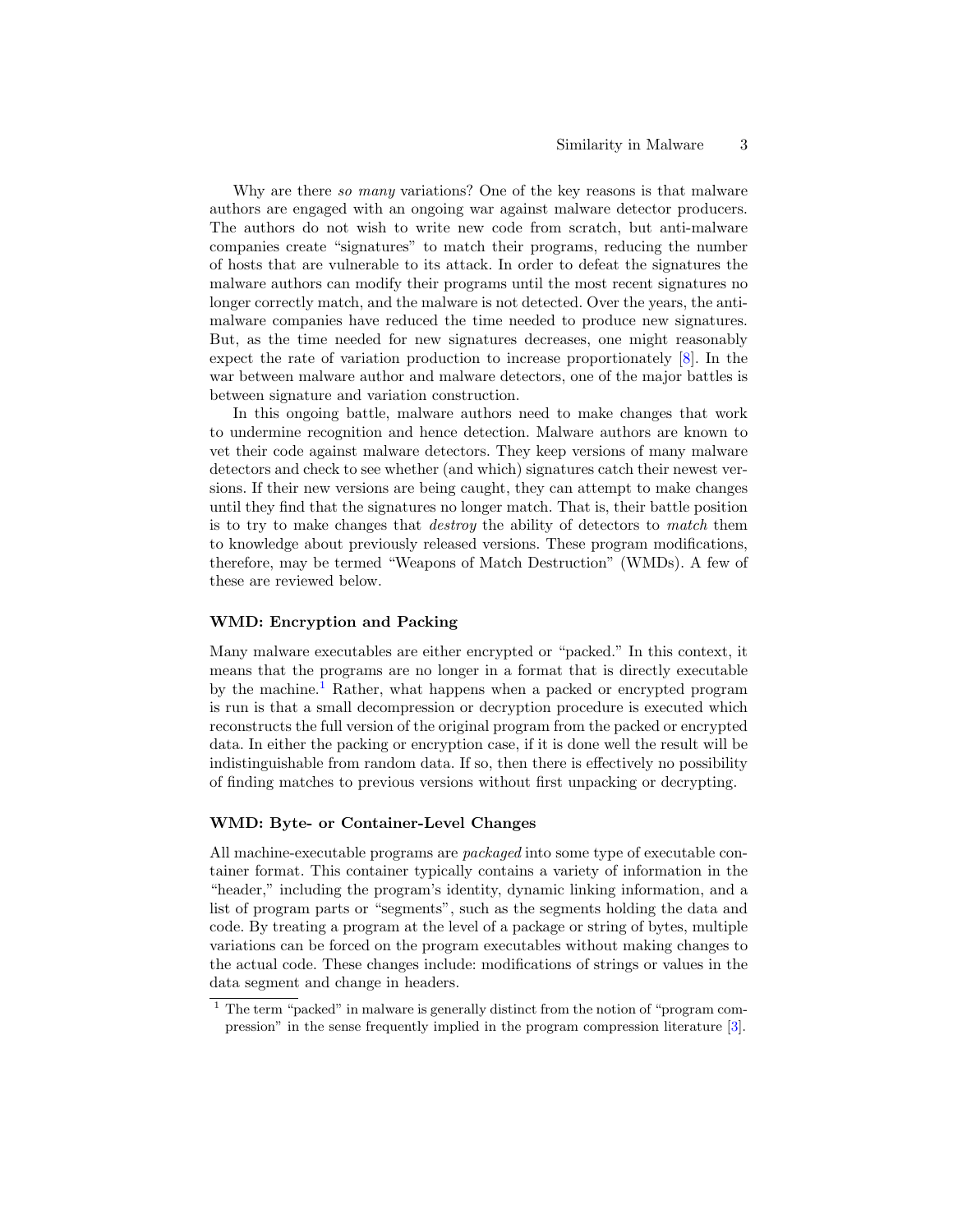Why are there so many variations? One of the key reasons is that malware authors are engaged with an ongoing war against malware detector producers. The authors do not wish to write new code from scratch, but anti-malware companies create "signatures" to match their programs, reducing the number of hosts that are vulnerable to its attack. In order to defeat the signatures the malware authors can modify their programs until the most recent signatures no longer correctly match, and the malware is not detected. Over the years, the antimalware companies have reduced the time needed to produce new signatures. But, as the time needed for new signatures decreases, one might reasonably expect the rate of variation production to increase proportionately [\[8\]](#page-9-0). In the war between malware author and malware detectors, one of the major battles is between signature and variation construction.

In this ongoing battle, malware authors need to make changes that work to undermine recognition and hence detection. Malware authors are known to vet their code against malware detectors. They keep versions of many malware detectors and check to see whether (and which) signatures catch their newest versions. If their new versions are being caught, they can attempt to make changes until they find that the signatures no longer match. That is, their battle position is to try to make changes that destroy the ability of detectors to match them to knowledge about previously released versions. These program modifications, therefore, may be termed "Weapons of Match Destruction" (WMDs). A few of these are reviewed below.

# WMD: Encryption and Packing

Many malware executables are either encrypted or "packed." In this context, it means that the programs are no longer in a format that is directly executable by the machine.<sup>[1](#page-2-0)</sup> Rather, what happens when a packed or encrypted program is run is that a small decompression or decryption procedure is executed which reconstructs the full version of the original program from the packed or encrypted data. In either the packing or encryption case, if it is done well the result will be indistinguishable from random data. If so, then there is effectively no possibility of finding matches to previous versions without first unpacking or decrypting.

# WMD: Byte- or Container-Level Changes

All machine-executable programs are packaged into some type of executable container format. This container typically contains a variety of information in the "header," including the program's identity, dynamic linking information, and a list of program parts or "segments", such as the segments holding the data and code. By treating a program at the level of a package or string of bytes, multiple variations can be forced on the program executables without making changes to the actual code. These changes include: modifications of strings or values in the data segment and change in headers.

<span id="page-2-0"></span> $1$  The term "packed" in malware is generally distinct from the notion of "program compression" in the sense frequently implied in the program compression literature [\[3\]](#page-8-2).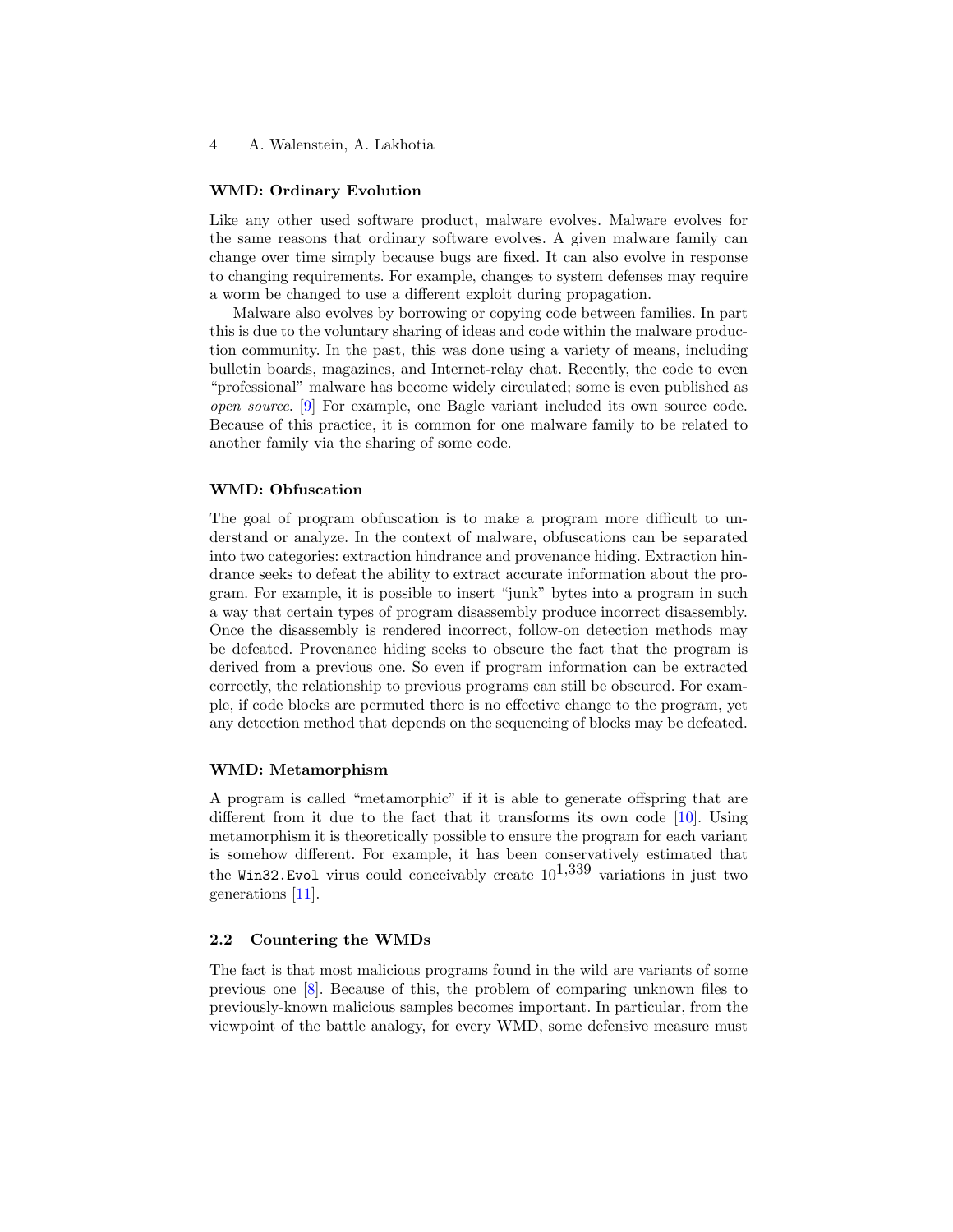#### WMD: Ordinary Evolution

Like any other used software product, malware evolves. Malware evolves for the same reasons that ordinary software evolves. A given malware family can change over time simply because bugs are fixed. It can also evolve in response to changing requirements. For example, changes to system defenses may require a worm be changed to use a different exploit during propagation.

Malware also evolves by borrowing or copying code between families. In part this is due to the voluntary sharing of ideas and code within the malware production community. In the past, this was done using a variety of means, including bulletin boards, magazines, and Internet-relay chat. Recently, the code to even "professional" malware has become widely circulated; some is even published as open source. [\[9\]](#page-9-1) For example, one Bagle variant included its own source code. Because of this practice, it is common for one malware family to be related to another family via the sharing of some code.

# WMD: Obfuscation

The goal of program obfuscation is to make a program more difficult to understand or analyze. In the context of malware, obfuscations can be separated into two categories: extraction hindrance and provenance hiding. Extraction hindrance seeks to defeat the ability to extract accurate information about the program. For example, it is possible to insert "junk" bytes into a program in such a way that certain types of program disassembly produce incorrect disassembly. Once the disassembly is rendered incorrect, follow-on detection methods may be defeated. Provenance hiding seeks to obscure the fact that the program is derived from a previous one. So even if program information can be extracted correctly, the relationship to previous programs can still be obscured. For example, if code blocks are permuted there is no effective change to the program, yet any detection method that depends on the sequencing of blocks may be defeated.

# WMD: Metamorphism

A program is called "metamorphic" if it is able to generate offspring that are different from it due to the fact that it transforms its own code [\[10\]](#page-9-2). Using metamorphism it is theoretically possible to ensure the program for each variant is somehow different. For example, it has been conservatively estimated that the Win32. Evol virus could conceivably create  $10^{1,339}$  variations in just two generations [\[11\]](#page-9-3).

# 2.2 Countering the WMDs

The fact is that most malicious programs found in the wild are variants of some previous one [\[8\]](#page-9-0). Because of this, the problem of comparing unknown files to previously-known malicious samples becomes important. In particular, from the viewpoint of the battle analogy, for every WMD, some defensive measure must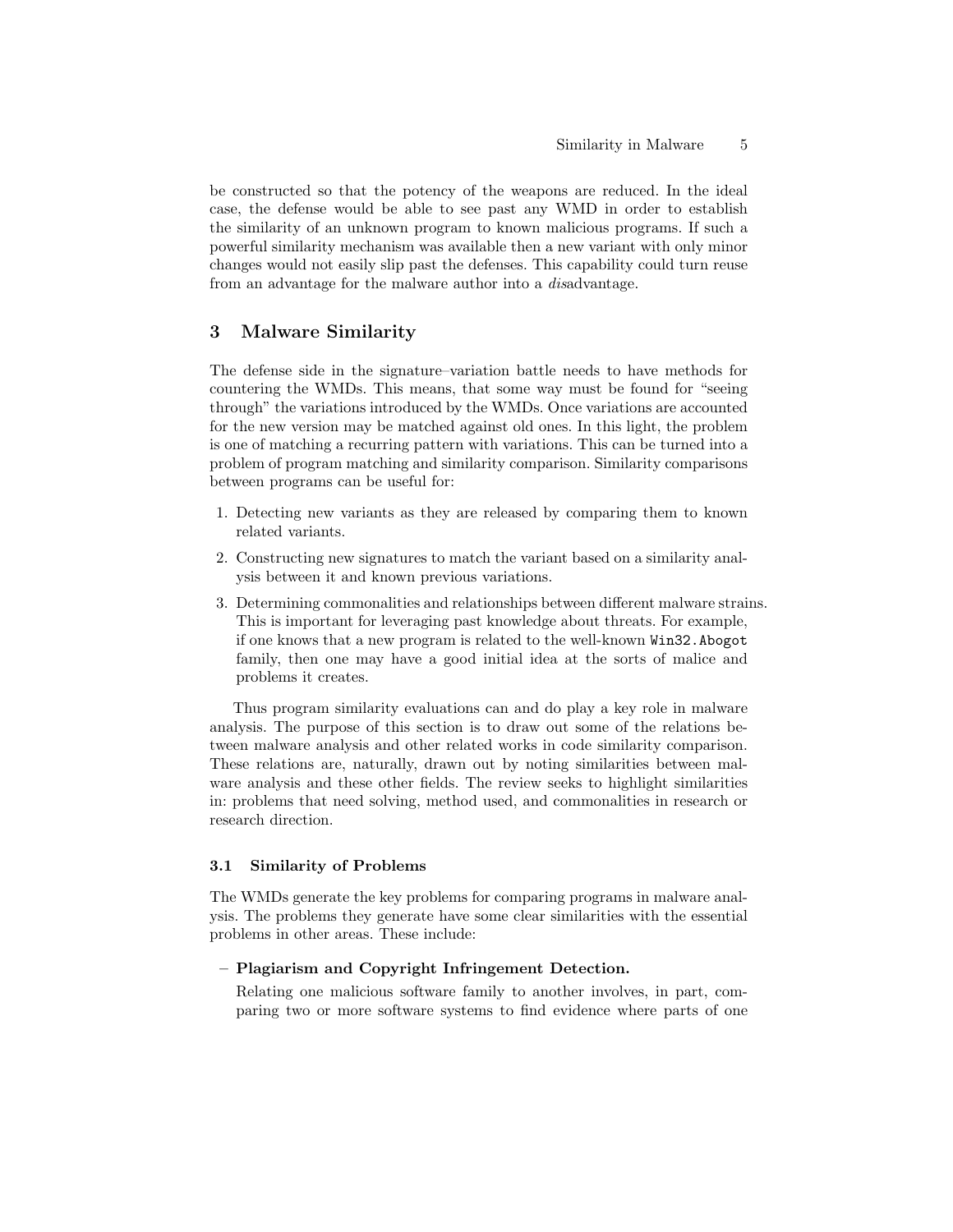be constructed so that the potency of the weapons are reduced. In the ideal case, the defense would be able to see past any WMD in order to establish the similarity of an unknown program to known malicious programs. If such a powerful similarity mechanism was available then a new variant with only minor changes would not easily slip past the defenses. This capability could turn reuse from an advantage for the malware author into a disadvantage.

# <span id="page-4-0"></span>3 Malware Similarity

The defense side in the signature–variation battle needs to have methods for countering the WMDs. This means, that some way must be found for "seeing through" the variations introduced by the WMDs. Once variations are accounted for the new version may be matched against old ones. In this light, the problem is one of matching a recurring pattern with variations. This can be turned into a problem of program matching and similarity comparison. Similarity comparisons between programs can be useful for:

- 1. Detecting new variants as they are released by comparing them to known related variants.
- 2. Constructing new signatures to match the variant based on a similarity analysis between it and known previous variations.
- 3. Determining commonalities and relationships between different malware strains. This is important for leveraging past knowledge about threats. For example, if one knows that a new program is related to the well-known Win32.Abogot family, then one may have a good initial idea at the sorts of malice and problems it creates.

Thus program similarity evaluations can and do play a key role in malware analysis. The purpose of this section is to draw out some of the relations between malware analysis and other related works in code similarity comparison. These relations are, naturally, drawn out by noting similarities between malware analysis and these other fields. The review seeks to highlight similarities in: problems that need solving, method used, and commonalities in research or research direction.

# 3.1 Similarity of Problems

The WMDs generate the key problems for comparing programs in malware analysis. The problems they generate have some clear similarities with the essential problems in other areas. These include:

# – Plagiarism and Copyright Infringement Detection.

Relating one malicious software family to another involves, in part, comparing two or more software systems to find evidence where parts of one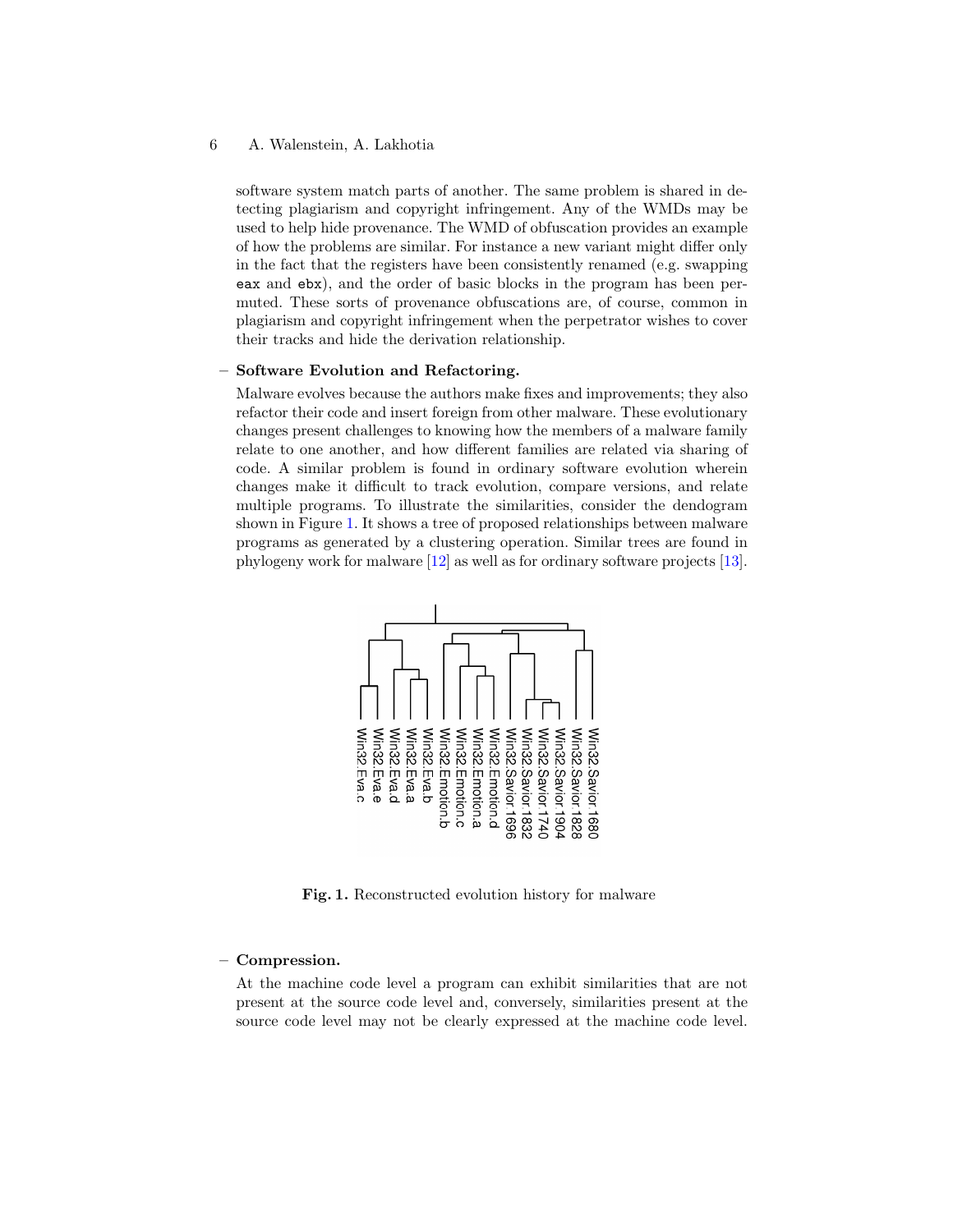software system match parts of another. The same problem is shared in detecting plagiarism and copyright infringement. Any of the WMDs may be used to help hide provenance. The WMD of obfuscation provides an example of how the problems are similar. For instance a new variant might differ only in the fact that the registers have been consistently renamed (e.g. swapping eax and ebx), and the order of basic blocks in the program has been permuted. These sorts of provenance obfuscations are, of course, common in plagiarism and copyright infringement when the perpetrator wishes to cover their tracks and hide the derivation relationship.

# – Software Evolution and Refactoring.

Malware evolves because the authors make fixes and improvements; they also refactor their code and insert foreign from other malware. These evolutionary changes present challenges to knowing how the members of a malware family relate to one another, and how different families are related via sharing of code. A similar problem is found in ordinary software evolution wherein changes make it difficult to track evolution, compare versions, and relate multiple programs. To illustrate the similarities, consider the dendogram shown in Figure [1.](#page-5-0) It shows a tree of proposed relationships between malware programs as generated by a clustering operation. Similar trees are found in phylogeny work for malware [\[12\]](#page-9-4) as well as for ordinary software projects [\[13\]](#page-9-5).



<span id="page-5-0"></span>Fig. 1. Reconstructed evolution history for malware

# – Compression.

At the machine code level a program can exhibit similarities that are not present at the source code level and, conversely, similarities present at the source code level may not be clearly expressed at the machine code level.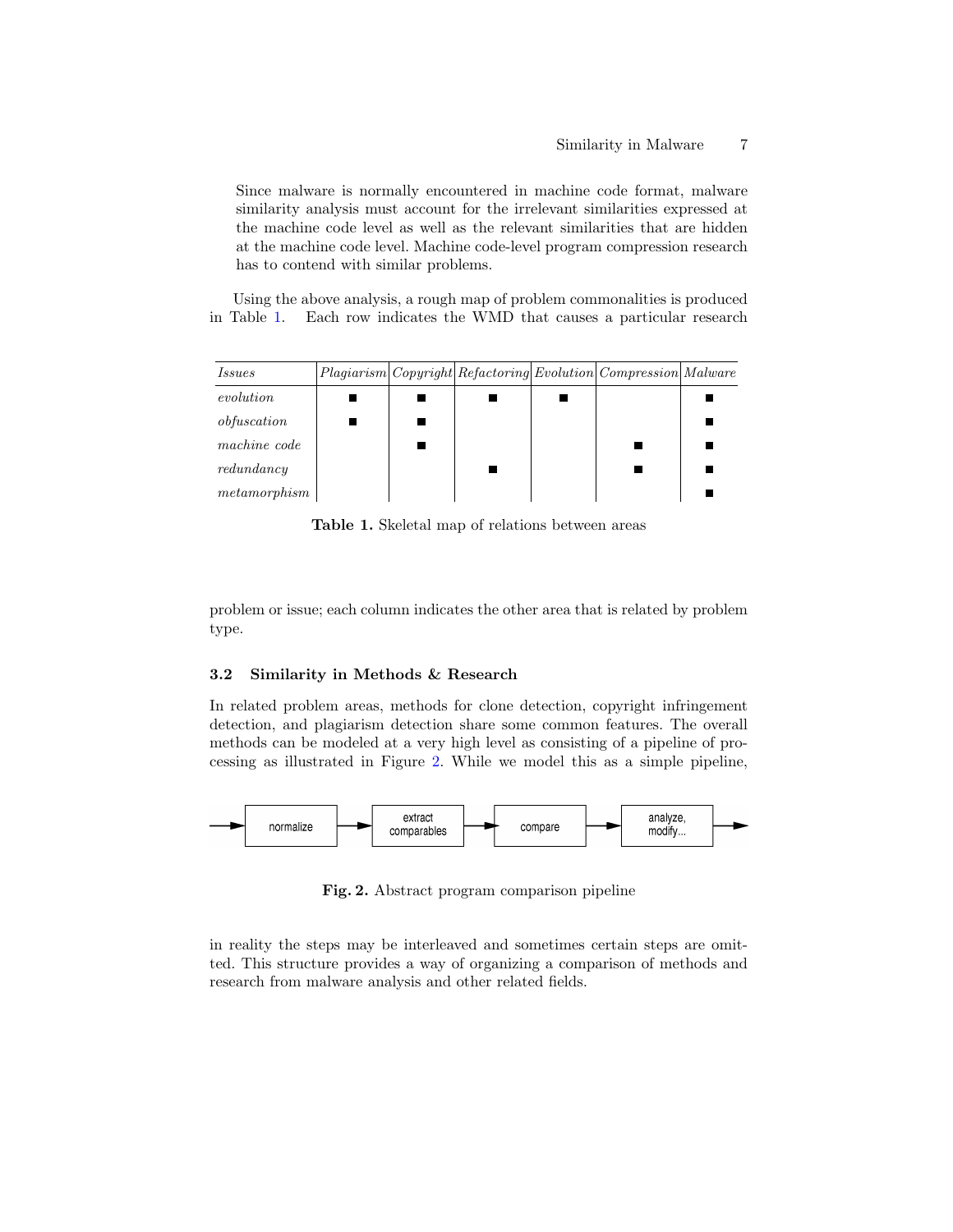Since malware is normally encountered in machine code format, malware similarity analysis must account for the irrelevant similarities expressed at the machine code level as well as the relevant similarities that are hidden at the machine code level. Machine code-level program compression research has to contend with similar problems.

Using the above analysis, a rough map of problem commonalities is produced in Table [1.](#page-6-0) Each row indicates the WMD that causes a particular research

| <i>Issues</i> |  |  | Plagiarism   Copyright   Refactoring   Evolution   Compression   Malware |  |
|---------------|--|--|--------------------------------------------------------------------------|--|
| evolution     |  |  |                                                                          |  |
| obfuscation   |  |  |                                                                          |  |
| machine code  |  |  |                                                                          |  |
| redundancy    |  |  |                                                                          |  |
| metamorphism  |  |  |                                                                          |  |

<span id="page-6-0"></span>Table 1. Skeletal map of relations between areas

problem or issue; each column indicates the other area that is related by problem type.

# 3.2 Similarity in Methods & Research

In related problem areas, methods for clone detection, copyright infringement detection, and plagiarism detection share some common features. The overall methods can be modeled at a very high level as consisting of a pipeline of processing as illustrated in Figure [2.](#page-6-1) While we model this as a simple pipeline,



<span id="page-6-1"></span>Fig. 2. Abstract program comparison pipeline

in reality the steps may be interleaved and sometimes certain steps are omitted. This structure provides a way of organizing a comparison of methods and research from malware analysis and other related fields.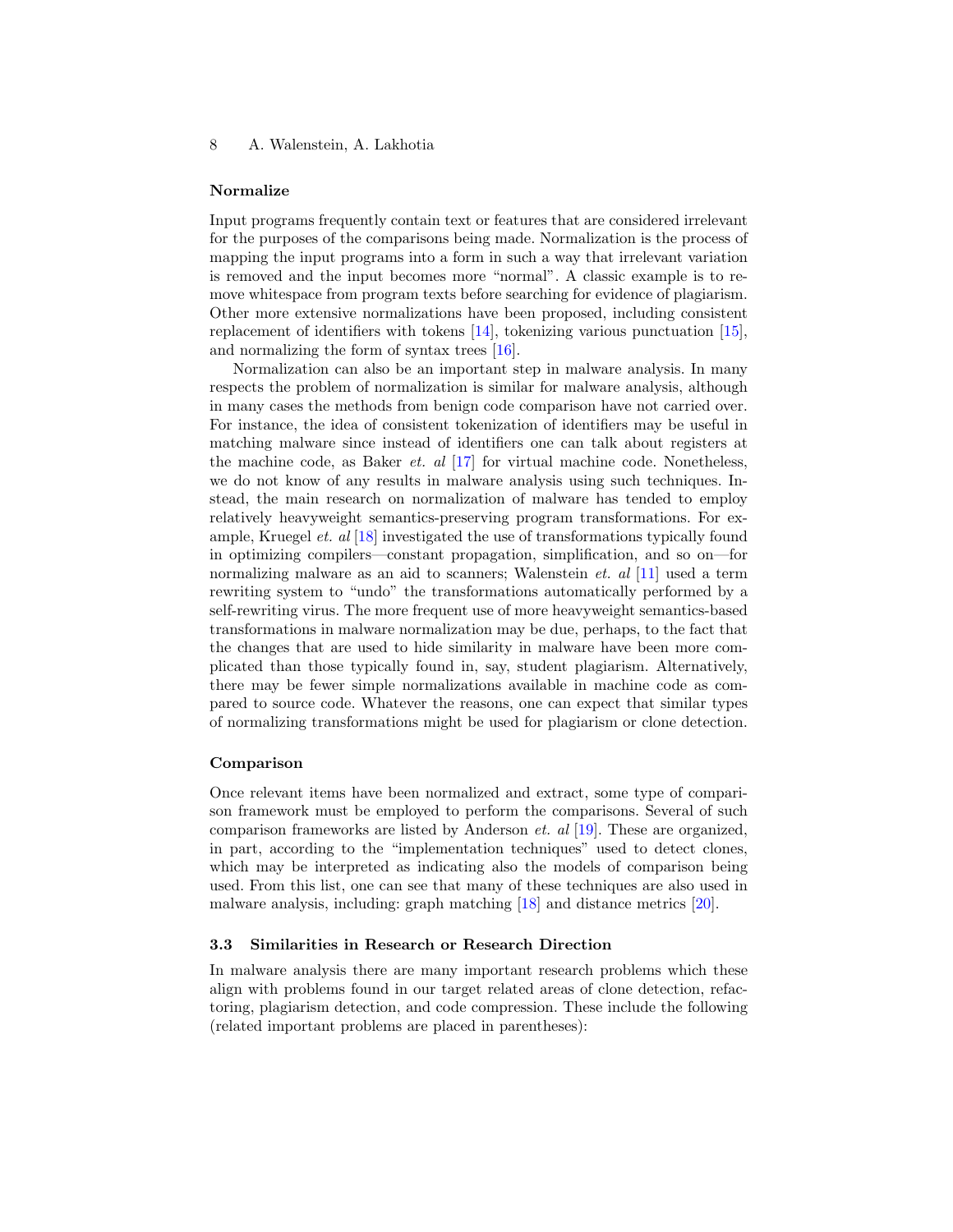## Normalize

Input programs frequently contain text or features that are considered irrelevant for the purposes of the comparisons being made. Normalization is the process of mapping the input programs into a form in such a way that irrelevant variation is removed and the input becomes more "normal". A classic example is to remove whitespace from program texts before searching for evidence of plagiarism. Other more extensive normalizations have been proposed, including consistent replacement of identifiers with tokens [\[14\]](#page-9-6), tokenizing various punctuation [\[15\]](#page-9-7), and normalizing the form of syntax trees [\[16\]](#page-9-8).

Normalization can also be an important step in malware analysis. In many respects the problem of normalization is similar for malware analysis, although in many cases the methods from benign code comparison have not carried over. For instance, the idea of consistent tokenization of identifiers may be useful in matching malware since instead of identifiers one can talk about registers at the machine code, as Baker *et. al*  $[17]$  for virtual machine code. Nonetheless, we do not know of any results in malware analysis using such techniques. Instead, the main research on normalization of malware has tended to employ relatively heavyweight semantics-preserving program transformations. For example, Kruegel *et. al* [\[18\]](#page-9-10) investigated the use of transformations typically found in optimizing compilers—constant propagation, simplification, and so on—for normalizing malware as an aid to scanners; Walenstein *et. al* [\[11\]](#page-9-3) used a term rewriting system to "undo" the transformations automatically performed by a self-rewriting virus. The more frequent use of more heavyweight semantics-based transformations in malware normalization may be due, perhaps, to the fact that the changes that are used to hide similarity in malware have been more complicated than those typically found in, say, student plagiarism. Alternatively, there may be fewer simple normalizations available in machine code as compared to source code. Whatever the reasons, one can expect that similar types of normalizing transformations might be used for plagiarism or clone detection.

#### Comparison

Once relevant items have been normalized and extract, some type of comparison framework must be employed to perform the comparisons. Several of such comparison frameworks are listed by Anderson et. al [\[19\]](#page-9-11). These are organized, in part, according to the "implementation techniques" used to detect clones, which may be interpreted as indicating also the models of comparison being used. From this list, one can see that many of these techniques are also used in malware analysis, including: graph matching [\[18\]](#page-9-10) and distance metrics [\[20\]](#page-9-12).

# 3.3 Similarities in Research or Research Direction

In malware analysis there are many important research problems which these align with problems found in our target related areas of clone detection, refactoring, plagiarism detection, and code compression. These include the following (related important problems are placed in parentheses):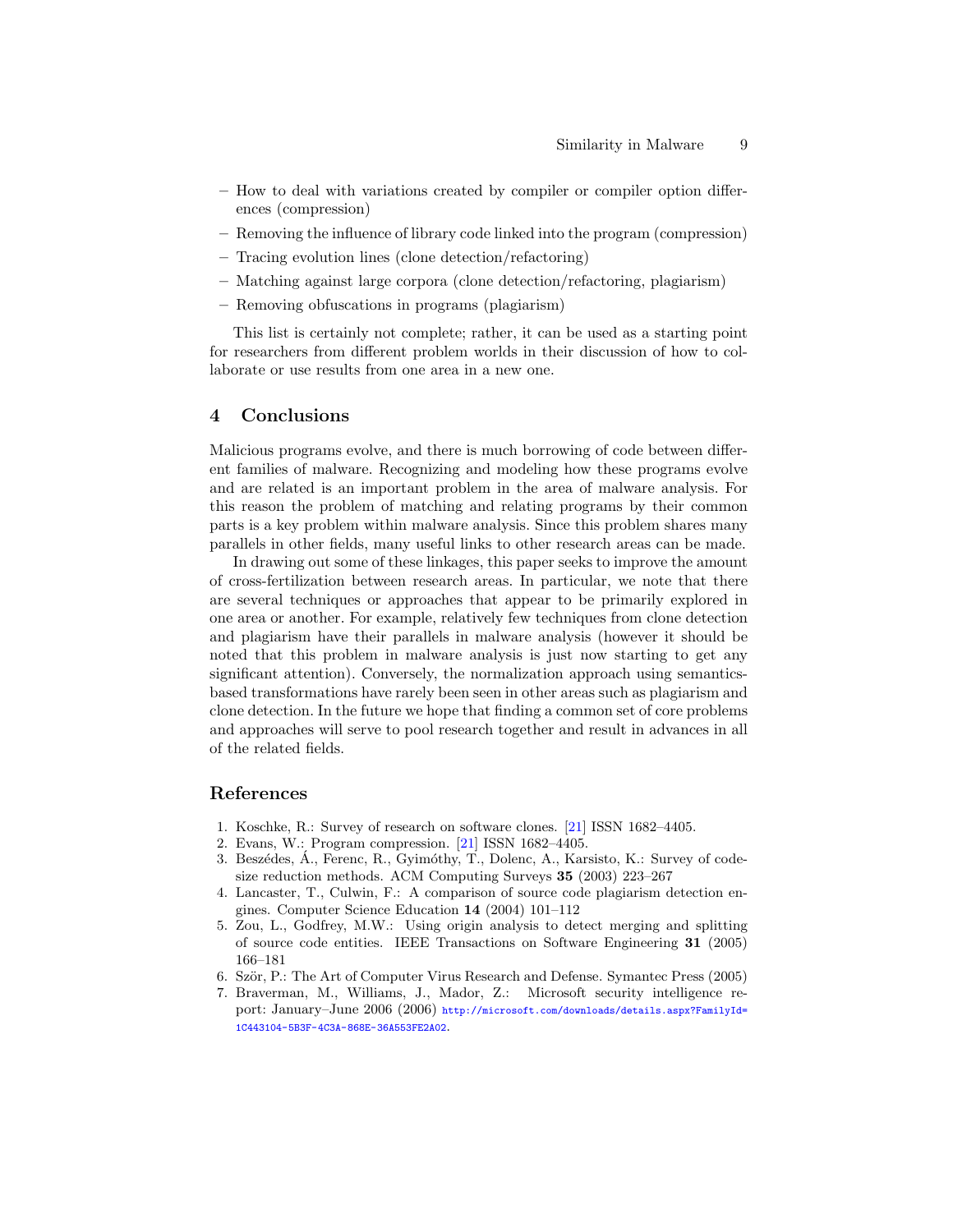- How to deal with variations created by compiler or compiler option differences (compression)
- Removing the influence of library code linked into the program (compression)
- Tracing evolution lines (clone detection/refactoring)
- Matching against large corpora (clone detection/refactoring, plagiarism)
- Removing obfuscations in programs (plagiarism)

This list is certainly not complete; rather, it can be used as a starting point for researchers from different problem worlds in their discussion of how to collaborate or use results from one area in a new one.

# 4 Conclusions

Malicious programs evolve, and there is much borrowing of code between different families of malware. Recognizing and modeling how these programs evolve and are related is an important problem in the area of malware analysis. For this reason the problem of matching and relating programs by their common parts is a key problem within malware analysis. Since this problem shares many parallels in other fields, many useful links to other research areas can be made.

In drawing out some of these linkages, this paper seeks to improve the amount of cross-fertilization between research areas. In particular, we note that there are several techniques or approaches that appear to be primarily explored in one area or another. For example, relatively few techniques from clone detection and plagiarism have their parallels in malware analysis (however it should be noted that this problem in malware analysis is just now starting to get any significant attention). Conversely, the normalization approach using semanticsbased transformations have rarely been seen in other areas such as plagiarism and clone detection. In the future we hope that finding a common set of core problems and approaches will serve to pool research together and result in advances in all of the related fields.

# References

- <span id="page-8-0"></span>1. Koschke, R.: Survey of research on software clones. [\[21\]](#page-9-13) ISSN 1682–4405.
- <span id="page-8-1"></span>2. Evans, W.: Program compression. [\[21\]](#page-9-13) ISSN 1682–4405.
- <span id="page-8-2"></span>3. Beszédes, Á., Ferenc, R., Gyimóthy, T., Dolenc, A., Karsisto, K.: Survey of codesize reduction methods. ACM Computing Surveys 35 (2003) 223–267
- <span id="page-8-3"></span>4. Lancaster, T., Culwin, F.: A comparison of source code plagiarism detection engines. Computer Science Education 14 (2004) 101–112
- <span id="page-8-4"></span>5. Zou, L., Godfrey, M.W.: Using origin analysis to detect merging and splitting of source code entities. IEEE Transactions on Software Engineering 31 (2005) 166–181
- <span id="page-8-5"></span>6. Ször, P.: The Art of Computer Virus Research and Defense. Symantec Press (2005)
- <span id="page-8-6"></span>7. Braverman, M., Williams, J., Mador, Z.: Microsoft security intelligence report: January–June 2006 (2006) [http://microsoft.com/downloads/details.aspx?FamilyId=](http://microsoft.com/downloads/details.aspx?FamilyId=1C443104-5B3F-4C3A-868E-36A553FE2A02) [1C443104-5B3F-4C3A-868E-36A553FE2A02](http://microsoft.com/downloads/details.aspx?FamilyId=1C443104-5B3F-4C3A-868E-36A553FE2A02).